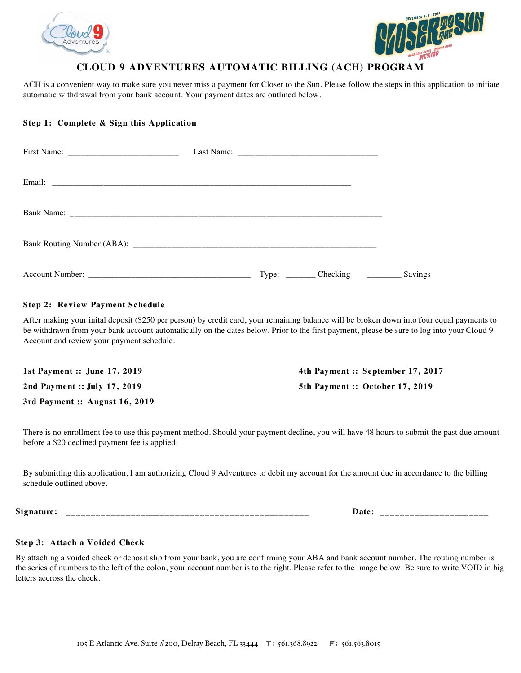



# **CLOUD 9 ADVENTURES AUTOMATIC BILLING (ACH) PROGRAM**

ACH is a convenient way to make sure you never miss a payment for Closer to the Sun. Please follow the steps in this application to initiate automatic withdrawal from your bank account. Your payment dates are outlined below.

## **Step 1: Complete & Sign this Application**

| Type: __________ Checking _________ | Savings |
|-------------------------------------|---------|

## **Step 2: Review Payment Schedule**

After making your inital deposit (\$250 per person) by credit card, your remaining balance will be broken down into four equal payments to be withdrawn from your bank account automatically on the dates below. Prior to the first payment, please be sure to log into your Cloud 9 Account and review your payment schedule.

| 1st Payment :: June 17, 2019   | 4th Payment :: September 17, 2017 |
|--------------------------------|-----------------------------------|
| 2nd Payment :: July 17, 2019   | 5th Payment :: October 17, 2019   |
| 3rd Payment :: August 16, 2019 |                                   |

There is no enrollment fee to use this payment method. Should your payment decline, you will have 48 hours to submit the past due amount before a \$20 declined payment fee is applied.

By submitting this application, I am authorizing Cloud 9 Adventures to debit my account for the amount due in accordance to the billing schedule outlined above.

**Signature: \_\_\_\_\_\_\_\_\_\_\_\_\_\_\_\_\_\_\_\_\_\_\_\_\_\_\_\_\_\_\_\_\_\_\_\_\_\_\_\_\_\_\_\_\_\_\_\_\_ Date: \_\_\_\_\_\_\_\_\_\_\_\_\_\_\_\_\_\_\_\_\_\_**

## **Step 3: Attach a Voided Check**

By attaching a voided check or deposit slip from your bank, you are confirming your ABA and bank account number. The routing number is the series of numbers to the left of the colon, your account number is to the right. Please refer to the image below. Be sure to write VOID in big letters accross the check.